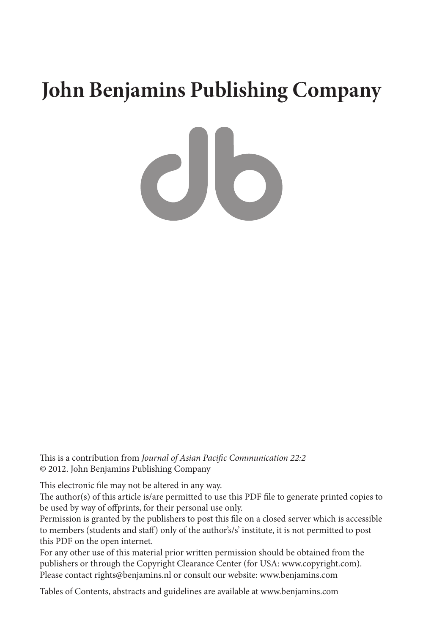# **John Benjamins Publishing Company**

 $c$ lo

This is a contribution from *Journal of Asian Pacific Communication 22:2* © 2012. John Benjamins Publishing Company

This electronic file may not be altered in any way.

The author(s) of this article is/are permitted to use this PDF file to generate printed copies to be used by way of offprints, for their personal use only.

Permission is granted by the publishers to post this file on a closed server which is accessible to members (students and staff) only of the author's/s' institute, it is not permitted to post this PDF on the open internet.

For any other use of this material prior written permission should be obtained from the publishers or through the Copyright Clearance Center (for USA: www.copyright.com). Please contact rights@benjamins.nl or consult our website: www.benjamins.com

Tables of Contents, abstracts and guidelines are available at www.benjamins.com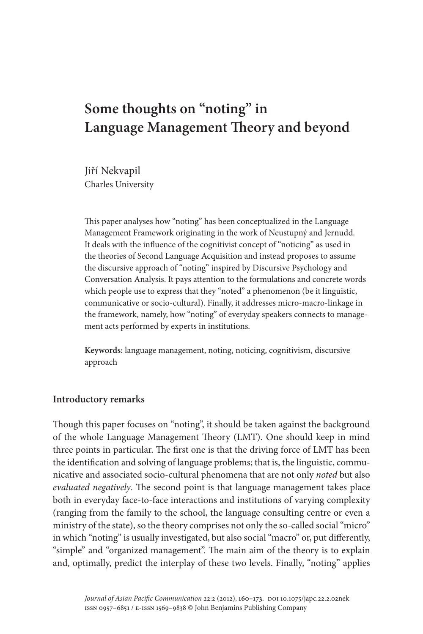# **Some thoughts on "noting" in Language Management Theory and beyond**

Jiří Nekvapil Charles University

This paper analyses how "noting" has been conceptualized in the Language Management Framework originating in the work of Neustupný and Jernudd. It deals with the influence of the cognitivist concept of "noticing" as used in the theories of Second Language Acquisition and instead proposes to assume the discursive approach of "noting" inspired by Discursive Psychology and Conversation Analysis. It pays attention to the formulations and concrete words which people use to express that they "noted" a phenomenon (be it linguistic, communicative or socio-cultural). Finally, it addresses micro-macro-linkage in the framework, namely, how "noting" of everyday speakers connects to management acts performed by experts in institutions.

**Keywords:** language management, noting, noticing, cognitivism, discursive approach

# **Introductory remarks**

Though this paper focuses on "noting", it should be taken against the background of the whole Language Management Theory (LMT). One should keep in mind three points in particular. The first one is that the driving force of LMT has been the identification and solving of language problems; that is, the linguistic, communicative and associated socio-cultural phenomena that are not only *noted* but also *evaluated negatively*. The second point is that language management takes place both in everyday face-to-face interactions and institutions of varying complexity (ranging from the family to the school, the language consulting centre or even a ministry of the state), so the theory comprises not only the so-called social "micro" in which "noting" is usually investigated, but also social "macro" or, put differently, "simple" and "organized management". The main aim of the theory is to explain and, optimally, predict the interplay of these two levels. Finally, "noting" applies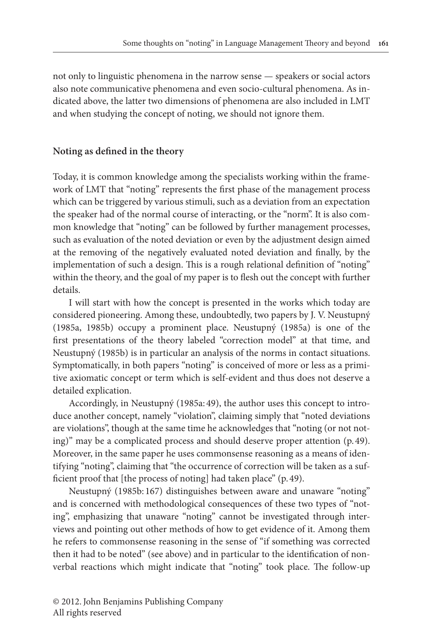not only to linguistic phenomena in the narrow sense — speakers or social actors also note communicative phenomena and even socio-cultural phenomena. As indicated above, the latter two dimensions of phenomena are also included in LMT and when studying the concept of noting, we should not ignore them.

# **Noting as defined in the theory**

Today, it is common knowledge among the specialists working within the framework of LMT that "noting" represents the first phase of the management process which can be triggered by various stimuli, such as a deviation from an expectation the speaker had of the normal course of interacting, or the "norm". It is also common knowledge that "noting" can be followed by further management processes, such as evaluation of the noted deviation or even by the adjustment design aimed at the removing of the negatively evaluated noted deviation and finally, by the implementation of such a design. This is a rough relational definition of "noting" within the theory, and the goal of my paper is to flesh out the concept with further details.

I will start with how the concept is presented in the works which today are considered pioneering. Among these, undoubtedly, two papers by J. V. Neustupný (1985a, 1985b) occupy a prominent place. Neustupný (1985a) is one of the first presentations of the theory labeled "correction model" at that time, and Neustupný (1985b) is in particular an analysis of the norms in contact situations. Symptomatically, in both papers "noting" is conceived of more or less as a primitive axiomatic concept or term which is self-evident and thus does not deserve a detailed explication.

Accordingly, in Neustupný (1985a: 49), the author uses this concept to introduce another concept, namely "violation", claiming simply that "noted deviations are violations", though at the same time he acknowledges that "noting (or not noting)" may be a complicated process and should deserve proper attention (p. 49). Moreover, in the same paper he uses commonsense reasoning as a means of identifying "noting", claiming that "the occurrence of correction will be taken as a sufficient proof that [the process of noting] had taken place" (p. 49).

Neustupný (1985b: 167) distinguishes between aware and unaware "noting" and is concerned with methodological consequences of these two types of "noting", emphasizing that unaware "noting" cannot be investigated through interviews and pointing out other methods of how to get evidence of it. Among them he refers to commonsense reasoning in the sense of "if something was corrected then it had to be noted" (see above) and in particular to the identification of nonverbal reactions which might indicate that "noting" took place. The follow-up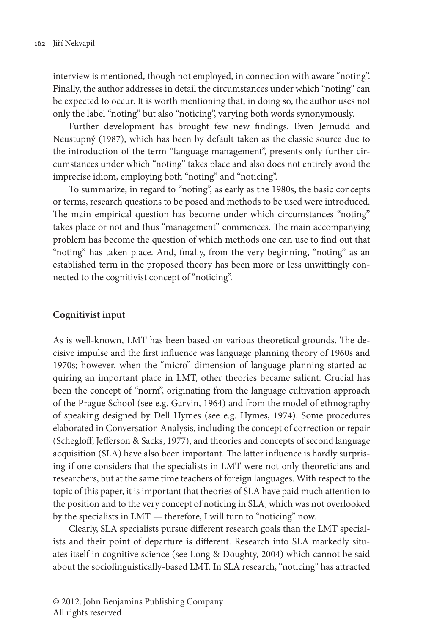interview is mentioned, though not employed, in connection with aware "noting". Finally, the author addresses in detail the circumstances under which "noting" can be expected to occur. It is worth mentioning that, in doing so, the author uses not only the label "noting" but also "noticing", varying both words synonymously.

Further development has brought few new findings. Even Jernudd and Neustupný (1987), which has been by default taken as the classic source due to the introduction of the term "language management", presents only further circumstances under which "noting" takes place and also does not entirely avoid the imprecise idiom, employing both "noting" and "noticing".

To summarize, in regard to "noting", as early as the 1980s, the basic concepts or terms, research questions to be posed and methods to be used were introduced. The main empirical question has become under which circumstances "noting" takes place or not and thus "management" commences. The main accompanying problem has become the question of which methods one can use to find out that "noting" has taken place. And, finally, from the very beginning, "noting" as an established term in the proposed theory has been more or less unwittingly connected to the cognitivist concept of "noticing".

#### **Cognitivist input**

As is well-known, LMT has been based on various theoretical grounds. The decisive impulse and the first influence was language planning theory of 1960s and 1970s; however, when the "micro" dimension of language planning started acquiring an important place in LMT, other theories became salient. Crucial has been the concept of "norm", originating from the language cultivation approach of the Prague School (see e.g. Garvin, 1964) and from the model of ethnography of speaking designed by Dell Hymes (see e.g. Hymes, 1974). Some procedures elaborated in Conversation Analysis, including the concept of correction or repair (Schegloff, Jefferson & Sacks, 1977), and theories and concepts of second language acquisition (SLA) have also been important. The latter influence is hardly surprising if one considers that the specialists in LMT were not only theoreticians and researchers, but at the same time teachers of foreign languages. With respect to the topic of this paper, it is important that theories of SLA have paid much attention to the position and to the very concept of noticing in SLA, which was not overlooked by the specialists in LMT — therefore, I will turn to "noticing" now.

Clearly, SLA specialists pursue different research goals than the LMT specialists and their point of departure is different. Research into SLA markedly situates itself in cognitive science (see Long & Doughty, 2004) which cannot be said about the sociolinguistically-based LMT. In SLA research, "noticing" has attracted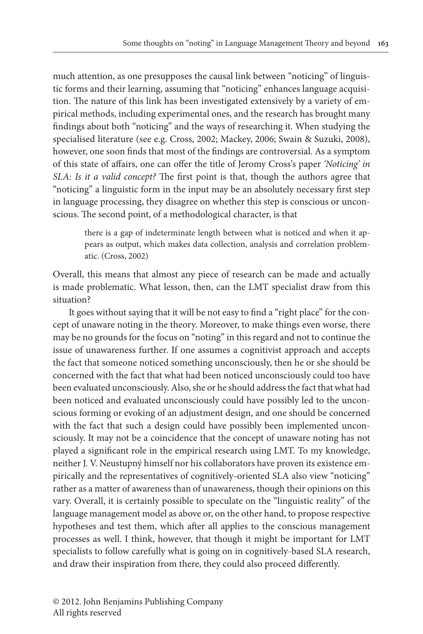much attention, as one presupposes the causal link between "noticing" of linguistic forms and their learning, assuming that "noticing" enhances language acquisition. The nature of this link has been investigated extensively by a variety of empirical methods, including experimental ones, and the research has brought many findings about both "noticing" and the ways of researching it. When studying the specialised literature (see e.g. Cross, 2002; Mackey, 2006; Swain & Suzuki, 2008), however, one soon finds that most of the findings are controversial. As a symptom of this state of affairs, one can offer the title of Jeromy Cross's paper *'Noticing' in SLA: Is it a valid concept?* The first point is that, though the authors agree that "noticing" a linguistic form in the input may be an absolutely necessary first step in language processing, they disagree on whether this step is conscious or unconscious. The second point, of a methodological character, is that

> there is a gap of indeterminate length between what is noticed and when it appears as output, which makes data collection, analysis and correlation problematic. (Cross, 2002)

Overall, this means that almost any piece of research can be made and actually is made problematic. What lesson, then, can the LMT specialist draw from this situation?

It goes without saying that it will be not easy to find a "right place" for the concept of unaware noting in the theory. Moreover, to make things even worse, there may be no grounds for the focus on "noting" in this regard and not to continue the issue of unawareness further. If one assumes a cognitivist approach and accepts the fact that someone noticed something unconsciously, then he or she should be concerned with the fact that what had been noticed unconsciously could too have been evaluated unconsciously. Also, she or he should address the fact that what had been noticed and evaluated unconsciously could have possibly led to the unconscious forming or evoking of an adjustment design, and one should be concerned with the fact that such a design could have possibly been implemented unconsciously. It may not be a coincidence that the concept of unaware noting has not played a significant role in the empirical research using LMT. To my knowledge, neither J. V. Neustupný himself nor his collaborators have proven its existence empirically and the representatives of cognitively-oriented SLA also view "noticing" rather as a matter of awareness than of unawareness, though their opinions on this vary. Overall, it is certainly possible to speculate on the "linguistic reality" of the language management model as above or, on the other hand, to propose respective hypotheses and test them, which after all applies to the conscious management processes as well. I think, however, that though it might be important for LMT specialists to follow carefully what is going on in cognitively-based SLA research, and draw their inspiration from there, they could also proceed differently.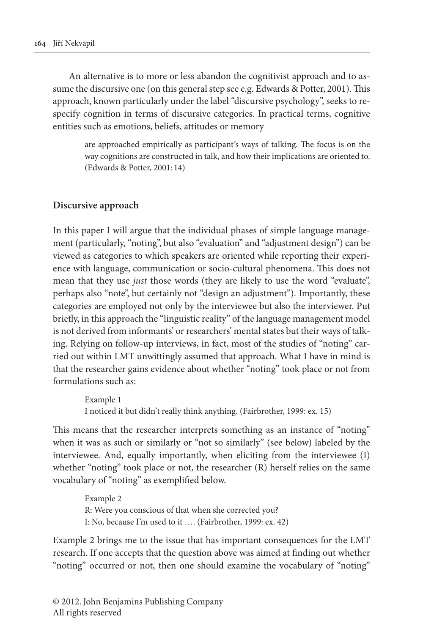An alternative is to more or less abandon the cognitivist approach and to assume the discursive one (on this general step see e.g. Edwards & Potter, 2001). This approach, known particularly under the label "discursive psychology", seeks to respecify cognition in terms of discursive categories. In practical terms, cognitive entities such as emotions, beliefs, attitudes or memory

> are approached empirically as participant's ways of talking. The focus is on the way cognitions are constructed in talk, and how their implications are oriented to. (Edwards & Potter, 2001: 14)

#### **Discursive approach**

In this paper I will argue that the individual phases of simple language management (particularly, "noting", but also "evaluation" and "adjustment design") can be viewed as categories to which speakers are oriented while reporting their experience with language, communication or socio-cultural phenomena. This does not mean that they use *just* those words (they are likely to use the word "evaluate", perhaps also "note", but certainly not "design an adjustment"). Importantly, these categories are employed not only by the interviewee but also the interviewer. Put briefly, in this approach the "linguistic reality" of the language management model is not derived from informants' or researchers' mental states but their ways of talking. Relying on follow-up interviews, in fact, most of the studies of "noting" carried out within LMT unwittingly assumed that approach. What I have in mind is that the researcher gains evidence about whether "noting" took place or not from formulations such as:

Example 1 I noticed it but didn't really think anything. (Fairbrother, 1999: ex. 15)

This means that the researcher interprets something as an instance of "noting" when it was as such or similarly or "not so similarly" (see below) labeled by the interviewee. And, equally importantly, when eliciting from the interviewee (I) whether "noting" took place or not, the researcher (R) herself relies on the same vocabulary of "noting" as exemplified below.

Example 2 R: Were you conscious of that when she corrected you? I: No, because I'm used to it …. (Fairbrother, 1999: ex. 42)

Example 2 brings me to the issue that has important consequences for the LMT research. If one accepts that the question above was aimed at finding out whether "noting" occurred or not, then one should examine the vocabulary of "noting"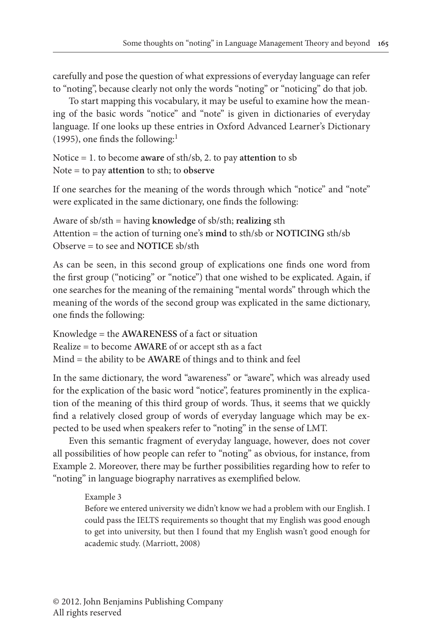carefully and pose the question of what expressions of everyday language can refer to "noting", because clearly not only the words "noting" or "noticing" do that job.

To start mapping this vocabulary, it may be useful to examine how the meaning of the basic words "notice" and "note" is given in dictionaries of everyday language. If one looks up these entries in Oxford Advanced Learner's Dictionary (1995), one finds the following: $<sup>1</sup>$ </sup>

```
Notice = 1. to become aware of sth/sb, 2. to pay attention to sb
Note = to pay attention to sth; to observe
```
If one searches for the meaning of the words through which "notice" and "note" were explicated in the same dictionary, one finds the following:

Aware of sb/sth = having **knowledge** of sb/sth; **realizing** sth Attention = the action of turning one's **mind** to sth/sb or **NOTICING** sth/sb Observe = to see and **NOTICE** sb/sth

As can be seen, in this second group of explications one finds one word from the first group ("noticing" or "notice") that one wished to be explicated. Again, if one searches for the meaning of the remaining "mental words" through which the meaning of the words of the second group was explicated in the same dictionary, one finds the following:

Knowledge = the **AWARENESS** of a fact or situation Realize = to become **AWARE** of or accept sth as a fact Mind = the ability to be **AWARE** of things and to think and feel

In the same dictionary, the word "awareness" or "aware", which was already used for the explication of the basic word "notice", features prominently in the explication of the meaning of this third group of words. Thus, it seems that we quickly find a relatively closed group of words of everyday language which may be expected to be used when speakers refer to "noting" in the sense of LMT.

Even this semantic fragment of everyday language, however, does not cover all possibilities of how people can refer to "noting" as obvious, for instance, from Example 2. Moreover, there may be further possibilities regarding how to refer to "noting" in language biography narratives as exemplified below.

#### Example 3

Before we entered university we didn't know we had a problem with our English. I could pass the IELTS requirements so thought that my English was good enough to get into university, but then I found that my English wasn't good enough for academic study. (Marriott, 2008)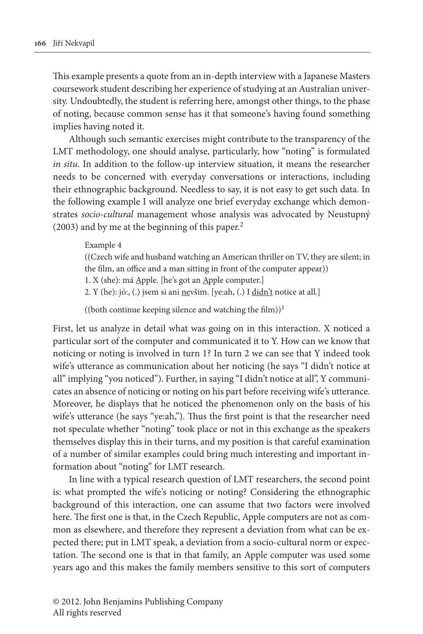This example presents a quote from an in-depth interview with a Japanese Masters coursework student describing her experience of studying at an Australian university. Undoubtedly, the student is referring here, amongst other things, to the phase of noting, because common sense has it that someone's having found something implies having noted it.

Although such semantic exercises might contribute to the transparency of the LMT methodology, one should analyse, particularly, how "noting" is formulated *in situ*. In addition to the follow-up interview situation, it means the researcher needs to be concerned with everyday conversations or interactions, including their ethnographic background. Needless to say, it is not easy to get such data. In the following example I will analyze one brief everyday exchange which demonstrates *socio-cultural* management whose analysis was advocated by Neustupný  $(2003)$  and by me at the beginning of this paper.<sup>2</sup>

Example 4

((Czech wife and husband watching an American thriller on TV, they are silent; in the film, an office and a man sitting in front of the computer appear)) 1. X (she): má Apple. [he's got an Apple computer.] 2. Y (he): jó:, (.) jsem si ani nevšim. [ye:ah, (.) I didn't notice at all.]

((both continue keeping silence and watching the film)) $3$ 

First, let us analyze in detail what was going on in this interaction. X noticed a particular sort of the computer and communicated it to Y. How can we know that noticing or noting is involved in turn 1? In turn 2 we can see that Y indeed took wife's utterance as communication about her noticing (he says "I didn't notice at all" implying "you noticed"). Further, in saying "I didn't notice at all", Y communicates an absence of noticing or noting on his part before receiving wife's utterance. Moreover, he displays that he noticed the phenomenon only on the basis of his wife's utterance (he says "ye:ah,"). Thus the first point is that the researcher need not speculate whether "noting" took place or not in this exchange as the speakers themselves display this in their turns, and my position is that careful examination of a number of similar examples could bring much interesting and important information about "noting" for LMT research.

In line with a typical research question of LMT researchers, the second point is: what prompted the wife's noticing or noting? Considering the ethnographic background of this interaction, one can assume that two factors were involved here. The first one is that, in the Czech Republic, Apple computers are not as common as elsewhere, and therefore they represent a deviation from what can be expected there; put in LMT speak, a deviation from a socio-cultural norm or expectation. The second one is that in that family, an Apple computer was used some years ago and this makes the family members sensitive to this sort of computers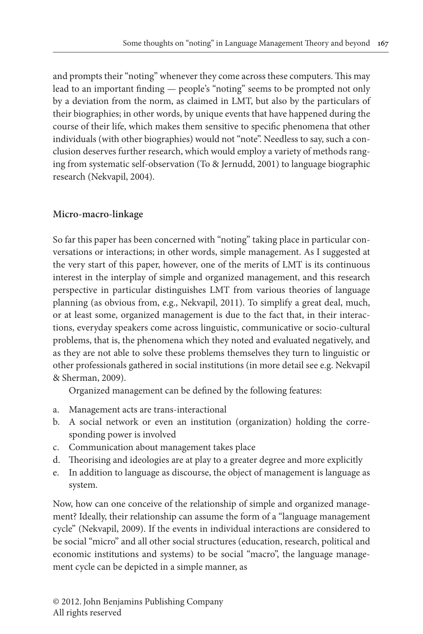and prompts their "noting" whenever they come across these computers. This may lead to an important finding — people's "noting" seems to be prompted not only by a deviation from the norm, as claimed in LMT, but also by the particulars of their biographies; in other words, by unique events that have happened during the course of their life, which makes them sensitive to specific phenomena that other individuals (with other biographies) would not "note". Needless to say, such a conclusion deserves further research, which would employ a variety of methods ranging from systematic self-observation (To & Jernudd, 2001) to language biographic research (Nekvapil, 2004).

# **Micro-macro-linkage**

So far this paper has been concerned with "noting" taking place in particular conversations or interactions; in other words, simple management. As I suggested at the very start of this paper, however, one of the merits of LMT is its continuous interest in the interplay of simple and organized management, and this research perspective in particular distinguishes LMT from various theories of language planning (as obvious from, e.g., Nekvapil, 2011). To simplify a great deal, much, or at least some, organized management is due to the fact that, in their interactions, everyday speakers come across linguistic, communicative or socio-cultural problems, that is, the phenomena which they noted and evaluated negatively, and as they are not able to solve these problems themselves they turn to linguistic or other professionals gathered in social institutions (in more detail see e.g. Nekvapil & Sherman, 2009).

Organized management can be defined by the following features:

- a. Management acts are trans-interactional
- b. A social network or even an institution (organization) holding the corresponding power is involved
- c. Communication about management takes place
- d. Theorising and ideologies are at play to a greater degree and more explicitly
- e. In addition to language as discourse, the object of management is language as system.

Now, how can one conceive of the relationship of simple and organized management? Ideally, their relationship can assume the form of a "language management cycle" (Nekvapil, 2009). If the events in individual interactions are considered to be social "micro" and all other social structures (education, research, political and economic institutions and systems) to be social "macro", the language management cycle can be depicted in a simple manner, as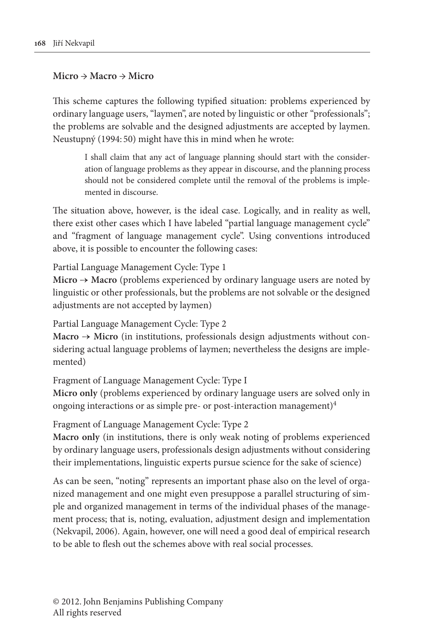# **Micro → Macro → Micro**

This scheme captures the following typified situation: problems experienced by ordinary language users, "laymen", are noted by linguistic or other "professionals"; the problems are solvable and the designed adjustments are accepted by laymen. Neustupný (1994: 50) might have this in mind when he wrote:

I shall claim that any act of language planning should start with the consideration of language problems as they appear in discourse, and the planning process should not be considered complete until the removal of the problems is implemented in discourse.

The situation above, however, is the ideal case. Logically, and in reality as well, there exist other cases which I have labeled "partial language management cycle" and "fragment of language management cycle". Using conventions introduced above, it is possible to encounter the following cases:

Partial Language Management Cycle: Type 1

**Micro → Macro** (problems experienced by ordinary language users are noted by linguistic or other professionals, but the problems are not solvable or the designed adjustments are not accepted by laymen)

Partial Language Management Cycle: Type 2

**Macro → Micro** (in institutions, professionals design adjustments without considering actual language problems of laymen; nevertheless the designs are implemented)

Fragment of Language Management Cycle: Type I

**Micro only** (problems experienced by ordinary language users are solved only in ongoing interactions or as simple pre- or post-interaction management) $4$ 

Fragment of Language Management Cycle: Type 2

**Macro only** (in institutions, there is only weak noting of problems experienced by ordinary language users, professionals design adjustments without considering their implementations, linguistic experts pursue science for the sake of science)

As can be seen, "noting" represents an important phase also on the level of organized management and one might even presuppose a parallel structuring of simple and organized management in terms of the individual phases of the management process; that is, noting, evaluation, adjustment design and implementation (Nekvapil, 2006). Again, however, one will need a good deal of empirical research to be able to flesh out the schemes above with real social processes.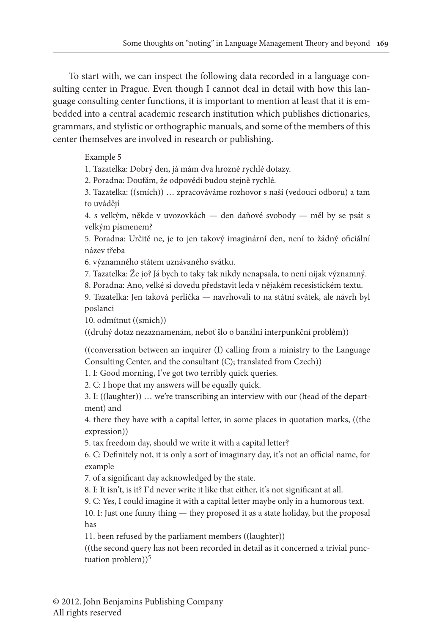To start with, we can inspect the following data recorded in a language consulting center in Prague. Even though I cannot deal in detail with how this language consulting center functions, it is important to mention at least that it is embedded into a central academic research institution which publishes dictionaries, grammars, and stylistic or orthographic manuals, and some of the members of this center themselves are involved in research or publishing.

Example 5

1. Tazatelka: Dobrý den, já mám dva hrozně rychlé dotazy.

2. Poradna: Doufám, že odpovědi budou stejně rychlé.

3. Tazatelka: ((smích)) … zpracováváme rozhovor s naší (vedoucí odboru) a tam to uvádějí

4. s velkým, někde v uvozovkách — den daňové svobody — měl by se psát s velkým písmenem?

5. Poradna: Určitě ne, je to jen takový imaginární den, není to žádný oficiální název třeba

6. významného státem uznávaného svátku.

7. Tazatelka: Že jo? Já bych to taky tak nikdy nenapsala, to není nijak významný.

8. Poradna: Ano, velké si dovedu představit leda v nějakém recesistickém textu.

9. Tazatelka: Jen taková perlička — navrhovali to na státní svátek, ale návrh byl poslanci

10. odmítnut ((smích))

((druhý dotaz nezaznamenám, neboť šlo o banální interpunkční problém))

((conversation between an inquirer (I) calling from a ministry to the Language Consulting Center, and the consultant (C); translated from Czech))

1. I: Good morning, I've got two terribly quick queries.

2. C: I hope that my answers will be equally quick.

3. I: ((laughter)) … we're transcribing an interview with our (head of the department) and

4. there they have with a capital letter, in some places in quotation marks, ((the expression))

5. tax freedom day, should we write it with a capital letter?

6. C: Definitely not, it is only a sort of imaginary day, it's not an official name, for example

7. of a significant day acknowledged by the state.

8. I: It isn't, is it? I'd never write it like that either, it's not significant at all.

9. C: Yes, I could imagine it with a capital letter maybe only in a humorous text.

10. I: Just one funny thing — they proposed it as a state holiday, but the proposal has

11. been refused by the parliament members ((laughter))

((the second query has not been recorded in detail as it concerned a trivial punctuation problem $)$ <sup>5</sup>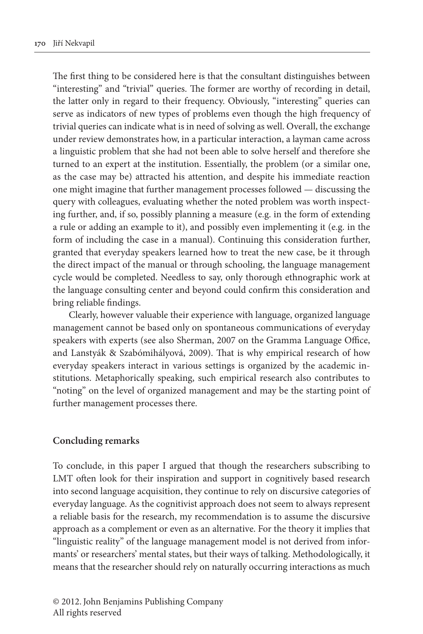The first thing to be considered here is that the consultant distinguishes between "interesting" and "trivial" queries. The former are worthy of recording in detail, the latter only in regard to their frequency. Obviously, "interesting" queries can serve as indicators of new types of problems even though the high frequency of trivial queries can indicate what is in need of solving as well. Overall, the exchange under review demonstrates how, in a particular interaction, a layman came across a linguistic problem that she had not been able to solve herself and therefore she turned to an expert at the institution. Essentially, the problem (or a similar one, as the case may be) attracted his attention, and despite his immediate reaction one might imagine that further management processes followed — discussing the query with colleagues, evaluating whether the noted problem was worth inspecting further, and, if so, possibly planning a measure (e.g. in the form of extending a rule or adding an example to it), and possibly even implementing it (e.g. in the form of including the case in a manual). Continuing this consideration further, granted that everyday speakers learned how to treat the new case, be it through the direct impact of the manual or through schooling, the language management cycle would be completed. Needless to say, only thorough ethnographic work at the language consulting center and beyond could confirm this consideration and bring reliable findings.

Clearly, however valuable their experience with language, organized language management cannot be based only on spontaneous communications of everyday speakers with experts (see also Sherman, 2007 on the Gramma Language Office, and Lanstyák & Szabómihályová, 2009). That is why empirical research of how everyday speakers interact in various settings is organized by the academic institutions. Metaphorically speaking, such empirical research also contributes to "noting" on the level of organized management and may be the starting point of further management processes there.

#### **Concluding remarks**

To conclude, in this paper I argued that though the researchers subscribing to LMT often look for their inspiration and support in cognitively based research into second language acquisition, they continue to rely on discursive categories of everyday language. As the cognitivist approach does not seem to always represent a reliable basis for the research, my recommendation is to assume the discursive approach as a complement or even as an alternative. For the theory it implies that "linguistic reality" of the language management model is not derived from informants' or researchers' mental states, but their ways of talking. Methodologically, it means that the researcher should rely on naturally occurring interactions as much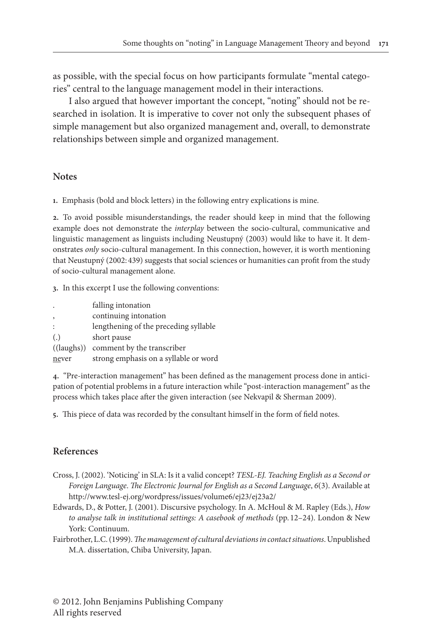as possible, with the special focus on how participants formulate "mental categories" central to the language management model in their interactions.

I also argued that however important the concept, "noting" should not be researched in isolation. It is imperative to cover not only the subsequent phases of simple management but also organized management and, overall, to demonstrate relationships between simple and organized management.

#### **Notes**

**1.** Emphasis (bold and block letters) in the following entry explications is mine.

**2.** To avoid possible misunderstandings, the reader should keep in mind that the following example does not demonstrate the *interplay* between the socio-cultural, communicative and linguistic management as linguists including Neustupný (2003) would like to have it. It demonstrates *only* socio-cultural management. In this connection, however, it is worth mentioning that Neustupný (2002: 439) suggests that social sciences or humanities can profit from the study of socio-cultural management alone.

**3.** In this excerpt I use the following conventions:

| $\ddot{\phantom{a}}$     | falling intonation                    |
|--------------------------|---------------------------------------|
| $\overline{\phantom{a}}$ | continuing intonation                 |
| $\ddot{\phantom{a}}$     | lengthening of the preceding syllable |
| $\left( .\right)$        | short pause                           |
| (laughs))                | comment by the transcriber            |
| never                    | strong emphasis on a syllable or word |

**4.** "Pre-interaction management" has been defined as the management process done in anticipation of potential problems in a future interaction while "post-interaction management" as the process which takes place after the given interaction (see Nekvapil & Sherman 2009).

**5.** This piece of data was recorded by the consultant himself in the form of field notes.

# **References**

- Cross, J. (2002). 'Noticing' in SLA: Is it a valid concept? *TESL-EJ. Teaching English as a Second or Foreign Language*. *The Electronic Journal for English as a Second Language*, *6*(3). Available at <http://www.tesl-ej.org/wordpress/issues/volume6/ej23/ej23a2/>
- Edwards, D., & Potter, J. (2001). Discursive psychology. In A. McHoul & M. Rapley (Eds.), *How to analyse talk in institutional settings: A casebook of methods* (pp. 12–24). London & New York: Continuum.
- Fairbrother, L.C. (1999). *The management of cultural deviations in contact situations*. Unpublished M.A. dissertation, Chiba University, Japan.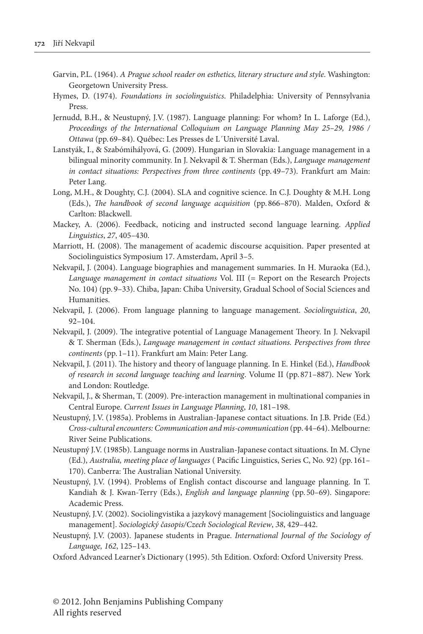- Garvin, P.L. (1964). *A Prague school reader on esthetics, literary structure and style*. Washington: Georgetown University Press.
- Hymes, D. (1974). *Foundations in sociolinguistics*. Philadelphia: University of Pennsylvania Press.
- Jernudd, B.H., & Neustupný, J.V. (1987). Language planning: For whom? In L. Laforge (Ed.), *Proceedings of the International Colloquium on Language Planning May 25–29, 1986 / Ottawa* (pp. 69–84). Québec: Les Presses de L´Université Laval.
- Lanstyák, I., & Szabómihályová, G. (2009). Hungarian in Slovakia: Language management in a bilingual minority community. In J. Nekvapil & T. Sherman (Eds.), *Language management in contact situations: Perspectives from three continents* (pp. 49–73). Frankfurt am Main: Peter Lang.
- Long, M.H., & Doughty, C.J. (2004). SLA and cognitive science. In C.J. Doughty & M.H. Long (Eds.), *The handbook of second language acquisition* (pp. 866–870). Malden, Oxford & Carlton: Blackwell.
- Mackey, A. (2006). Feedback, noticing and instructed second language learning. *Applied Linguistics*, *27*, 405–430.
- Marriott, H. (2008). The management of academic discourse acquisition. Paper presented at Sociolinguistics Symposium 17. Amsterdam, April 3–5.
- Nekvapil, J. (2004). Language biographies and management summaries. In H. Muraoka (Ed.), *Language management in contact situations* Vol. III (= Report on the Research Projects No. 104) (pp. 9–33). Chiba, Japan: Chiba University, Gradual School of Social Sciences and Humanities.
- Nekvapil, J. (2006). From language planning to language management. *Sociolinguistica*, *20*, 92–104.
- Nekvapil, J. (2009). The integrative potential of Language Management Theory. In J. Nekvapil & T. Sherman (Eds.), *Language management in contact situations. Perspectives from three continents* (pp. 1–11). Frankfurt am Main: Peter Lang.
- Nekvapil, J. (2011). The history and theory of language planning. In E. Hinkel (Ed.), *Handbook of research in second language teaching and learning*. Volume II (pp. 871–887). New York and London: Routledge.
- Nekvapil, J., & Sherman, T. (2009). Pre-interaction management in multinational companies in Central Europe. *Current Issues in Language Planning*, *10*, 181–198.
- Neustupný, J.V. (1985a). Problems in Australian-Japanese contact situations. In J.B. Pride (Ed.) *Cross-cultural encounters: Communication and mis-communication* (pp. 44–64). Melbourne: River Seine Publications.
- Neustupný J.V. (1985b). Language norms in Australian-Japanese contact situations. In M. Clyne (Ed.), *Australia, meeting place of languages* ( Pacific Linguistics, Series C, No. 92) (pp. 161– 170). Canberra: The Australian National University.
- Neustupný, J.V. (1994). Problems of English contact discourse and language planning. In T. Kandiah & J. Kwan-Terry (Eds.), *English and language planning* (pp. 50–69). Singapore: Academic Press.
- Neustupný, J.V. (2002). Sociolingvistika a jazykový management [Sociolinguistics and language management]. *Sociologický časopis/Czech Sociological Review*, *38*, 429–442.
- Neustupný, J.V. (2003). Japanese students in Prague. *International Journal of the Sociology of Language, 162*, 125–143.
- Oxford Advanced Learner's Dictionary (1995). 5th Edition. Oxford: Oxford University Press.